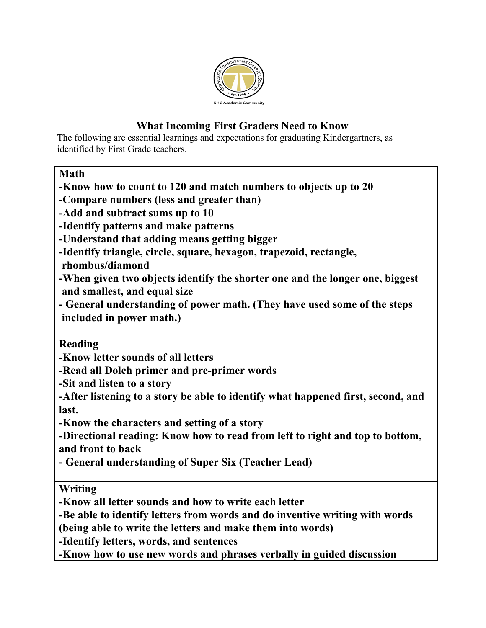

## **What Incoming First Graders Need to Know**

The following are essential learnings and expectations for graduating Kindergartners, as identified by First Grade teachers.

**Math**

**-Know how to count to 120 and match numbers to objects up to 20**

**-Compare numbers (less and greater than)**

**-Add and subtract sums up to 10**

**-Identify patterns and make patterns**

**-Understand that adding means getting bigger**

**-Identify triangle, circle, square, hexagon, trapezoid, rectangle,**

**rhombus/diamond**

**-When given two objects identify the shorter one and the longer one, biggest and smallest, and equal size**

**- General understanding of power math. (They have used some of the steps included in power math.)**

**Reading**

**-Know letter sounds of all letters**

**-Read all Dolch primer and pre-primer words**

**-Sit and listen to a story**

**-After listening to a story be able to identify what happened first, second, and last.**

**-Know the characters and setting of a story**

**-Directional reading: Know how to read from left to right and top to bottom, and front to back**

**- General understanding of Super Six (Teacher Lead)**

**Writing**

**-Know all letter sounds and how to write each letter**

**-Be able to identify letters from words and do inventive writing with words**

**(being able to write the letters and make them into words)**

**-Identify letters, words, and sentences**

**-Know how to use new words and phrases verbally in guided discussion**